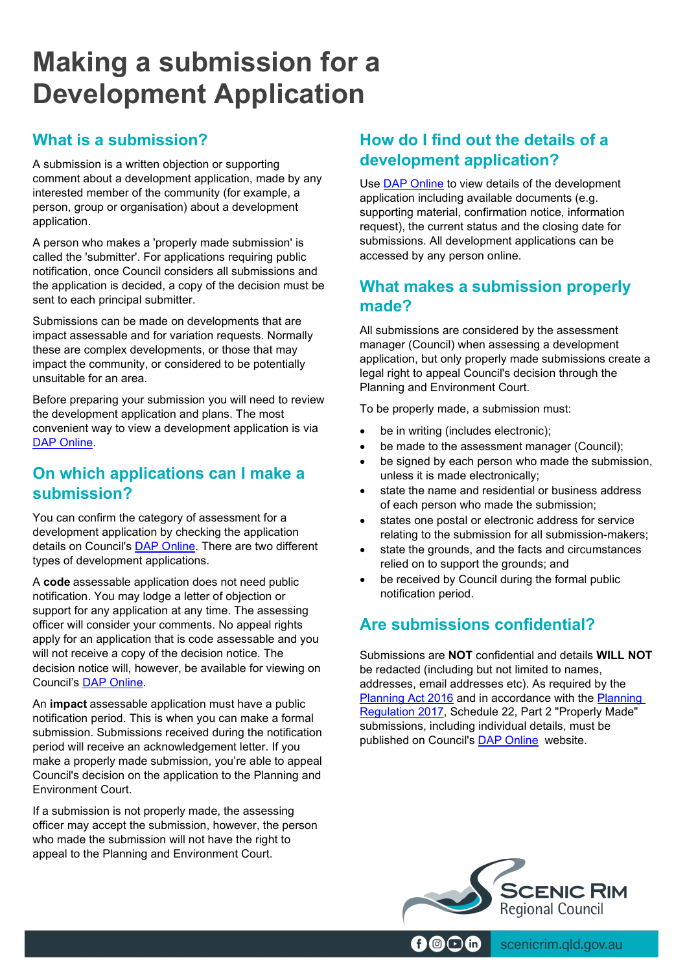# **Making a submission for a Development Application**

# **What is a submission?**

A submission is a written objection or supporting comment about a development application, made by any interested member of the community (for example, a person, group or organisation) about a development application.

A person who makes a 'properly made submission' is called the 'submitter'. For applications requiring public notification, once Council considers all submissions and the application is decided, a copy of the decision must be sent to each principal submitter.

Submissions can be made on developments that are impact assessable and for variation requests. Normally these are complex developments, or those that may impact the community, or considered to be potentially unsuitable for an area.

Before preparing your submission you will need to review the development application and plans. The most convenient way to view a development application is via DAP [Online.](https://srr-prod-icon.saas.t1cloud.com/Common/Common/Terms.aspx)

## **On which applications can I make a submission?**

You can confirm the category of assessment for a development application by checking the application details on Council's **DAP Online**. There are two different types of development applications.

A **code** assessable application does not need public notification. You may lodge a letter of objection or support for any application at any time. The assessing officer will consider your comments. No appeal rights apply for an application that is code assessable and you will not receive a copy of the decision notice. The decision notice will, however, be available for viewing on Council's [DAP Online.](https://srr-prod-icon.saas.t1cloud.com/Common/Common/Terms.aspx)

An **impact** assessable application must have a public notification period. This is when you can make a formal submission. Submissions received during the notification period will receive an acknowledgement letter. If you make a properly made submission, you're able to appeal Council's decision on the application to the Planning and Environment Court.

If a submission is not properly made, the assessing officer may accept the submission, however, the person who made the submission will not have the right to appeal to the Planning and Environment Court.

# **How do I find out the details of a development application?**

Use DAP [Online](https://srr-prod-icon.saas.t1cloud.com/Common/Common/Terms.aspx) to view details of the development application including available documents (e.g. supporting material, confirmation notice, information request), the current status and the closing date for submissions. All development applications can be accessed by any person online.

## **What makes a submission properly made?**

All submissions are considered by the assessment manager (Council) when assessing a development application, but only properly made submissions create a legal right to appeal Council's decision through the Planning and Environment Court.

To be properly made, a submission must:

- be in writing (includes electronic);
- be made to the assessment manager (Council);
- be signed by each person who made the submission, unless it is made electronically;
- state the name and residential or business address of each person who made the submission;
- states one postal or electronic address for service relating to the submission for all submission-makers;
- state the grounds, and the facts and circumstances relied on to support the grounds; and
- be received by Council during the formal public notification period.

# **Are submissions confidential?**

Submissions are **NOT** confidential and details **WILL NOT** be redacted (including but not limited to names, addresses, email addresses etc). As required by the [Planning Act 2016](https://www.legislation.qld.gov.au/view/pdf/inforce/current/act-2016-025) and in accordance with the [Planning](https://www.legislation.qld.gov.au/view/pdf/inforce/current/sl-2017-0078)  [Regulation 2017,](https://www.legislation.qld.gov.au/view/pdf/inforce/current/sl-2017-0078) Schedule 22, Part 2 "Properly Made" submissions, including individual details, must be published on Council's [DAP Online](https://srr-prod-icon.saas.t1cloud.com/Common/Common/Terms.aspx) website.



 $\circledcirc$  (n)  $\circledcirc$